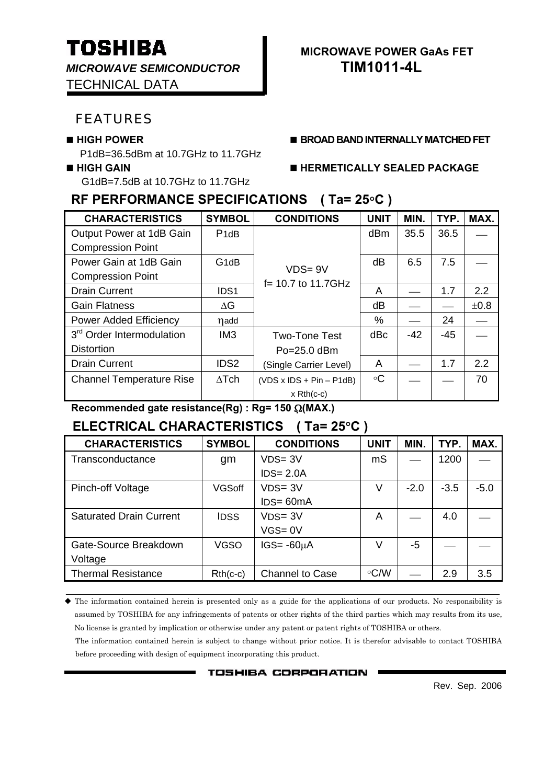*MICROWAVE SEMICONDUCTOR* **TIM1011-4L** TECHNICAL DATA

### FEATURES

P1dB=36.5dBm at 10.7GHz to 11.7GHz

G1dB=7.5dB at 10.7GHz to 11.7GHz

### **RF PERFORMANCE SPECIFICATIONS ( Ta= 25**°**C )**

| <b>CHARACTERISTICS</b>                | <b>SYMBOL</b>                 | <b>CONDITIONS</b>          | <b>UNIT</b>     | MIN.  | TYP. | MAX. |
|---------------------------------------|-------------------------------|----------------------------|-----------------|-------|------|------|
| Output Power at 1dB Gain              | P <sub>1</sub> d <sub>B</sub> |                            | d <sub>Bm</sub> | 35.5  | 36.5 |      |
| <b>Compression Point</b>              |                               |                            |                 |       |      |      |
| Power Gain at 1dB Gain                | G <sub>1</sub> dB             | $VDS = 9V$                 | dB              | 6.5   | 7.5  |      |
| <b>Compression Point</b>              |                               | f= 10.7 to 11.7GHz         |                 |       |      |      |
| <b>Drain Current</b>                  | IDS <sub>1</sub>              |                            | A               |       | 1.7  | 2.2  |
| <b>Gain Flatness</b>                  | $\Delta G$                    |                            | dB              |       |      | ±0.8 |
| <b>Power Added Efficiency</b>         | nadd                          |                            | %               |       | 24   |      |
| 3 <sup>rd</sup> Order Intermodulation | IM3                           | <b>Two-Tone Test</b>       | dBc             | $-42$ | -45  |      |
| <b>Distortion</b>                     |                               | $Po = 25.0$ dBm            |                 |       |      |      |
| <b>Drain Current</b>                  | IDS <sub>2</sub>              | (Single Carrier Level)     | A               |       | 1.7  | 2.2  |
| <b>Channel Temperature Rise</b>       | $\Delta$ Tch                  | $(VDS x IDs + Pin - P1dB)$ | ∘C              |       |      | 70   |
|                                       |                               | $x$ Rth(c-c)               |                 |       |      |      |

**Recommended gate resistance(Rg) : Rg= 150** Ω**(MAX.)**

## **ELECTRICAL CHARACTERISTICS ( Ta= 25**°**C )**

| <b>CHARACTERISTICS</b>         | <b>SYMBOL</b> | <b>CONDITIONS</b> | <b>UNIT</b> | MIN.   | TYP.   | MAX.   |
|--------------------------------|---------------|-------------------|-------------|--------|--------|--------|
| Transconductance               | gm            | $VDS = 3V$        | mS          |        | 1200   |        |
|                                |               | $IDS = 2.0A$      |             |        |        |        |
| Pinch-off Voltage              | <b>VGSoff</b> | $VDS = 3V$        | V           | $-2.0$ | $-3.5$ | $-5.0$ |
|                                |               | $IDS = 60mA$      |             |        |        |        |
| <b>Saturated Drain Current</b> | <b>IDSS</b>   | $VDS = 3V$        | A           |        | 4.0    |        |
|                                |               | $VGS = 0V$        |             |        |        |        |
| Gate-Source Breakdown          | <b>VGSO</b>   | $IGS = -60µA$     | V           | -5     |        |        |
| Voltage                        |               |                   |             |        |        |        |
| <b>Thermal Resistance</b>      | $Rth(c-c)$    | Channel to Case   | $\circ$ C/W |        | 2.9    | 3.5    |

 The information contained herein is presented only as a guide for the applications of our products. No responsibility is assumed by TOSHIBA for any infringements of patents or other rights of the third parties which may results from its use, No license is granted by implication or otherwise under any patent or patent rights of TOSHIBA or others.

The information contained herein is subject to change without prior notice. It is therefor advisable to contact TOSHIBA before proceeding with design of equipment incorporating this product.

**TOSHIBA CORPORATION** 

Rev. Sep. 2006

# **TOSHIBA** MICROWAVE POWER GAAS FET

**HIGH POWER BROAD BAND INTERNALLY MATCHED FET**

#### **HIGH GAIN HERMETICALLY SEALED PACKAGE**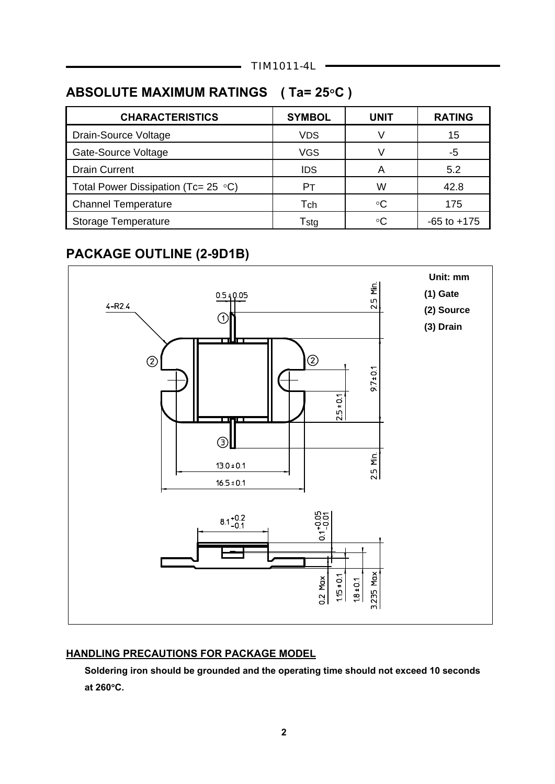# **ABSOLUTE MAXIMUM RATINGS ( Ta= 25**°**C )**

| <b>CHARACTERISTICS</b>                     | <b>SYMBOL</b> | <b>UNIT</b> | <b>RATING</b>   |
|--------------------------------------------|---------------|-------------|-----------------|
| Drain-Source Voltage                       | <b>VDS</b>    |             | 15              |
| Gate-Source Voltage                        | <b>VGS</b>    |             | -5              |
| <b>Drain Current</b>                       | <b>IDS</b>    |             | 5.2             |
| Total Power Dissipation (Tc= 25 $\circ$ C) | Pт            | W           | 42.8            |
| <b>Channel Temperature</b>                 | Tch           | ∘C          | 175             |
| <b>Storage Temperature</b>                 | Tstg          | ∘∩          | $-65$ to $+175$ |
|                                            |               |             |                 |

# **PACKAGE OUTLINE (2-9D1B)**



#### **HANDLING PRECAUTIONS FOR PACKAGE MODEL**

 **Soldering iron should be grounded and the operating time should not exceed 10 seconds at 260**°**C.**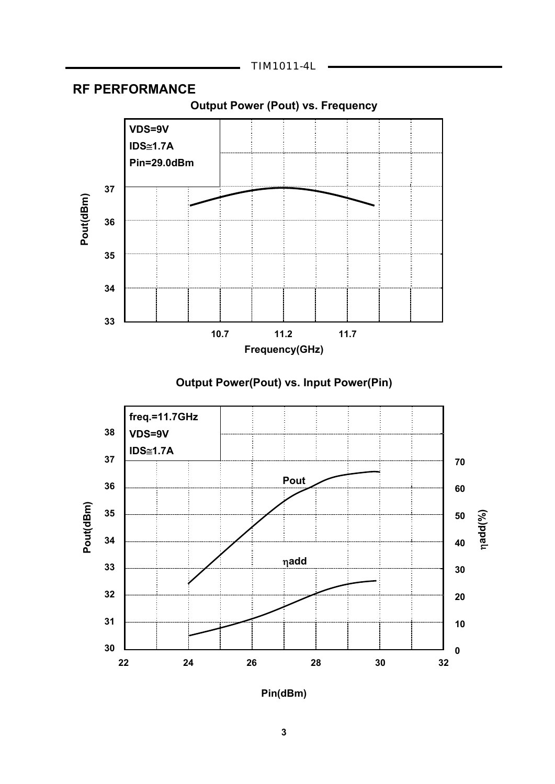

### **RF PERFORMANCE**